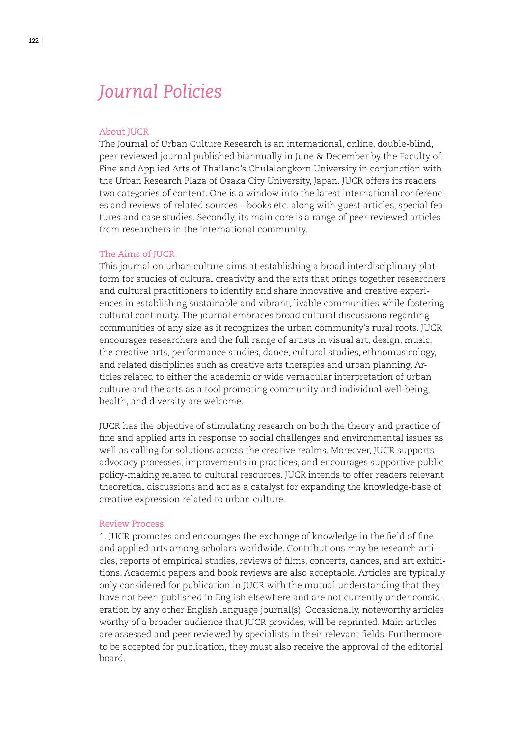# *Journal Policies*

#### About JUCR

The Journal of Urban Culture Research is an international, online, double-blind, peer-reviewed journal published biannually in June & December by the Faculty of Fine and Applied Arts of Thailand's Chulalongkorn University in conjunction with the Urban Research Plaza of Osaka City University, Japan. JUCR offers its readers two categories of content. One is a window into the latest international conferences and reviews of related sources – books etc. along with guest articles, special features and case studies. Secondly, its main core is a range of peer-reviewed articles from researchers in the international community.

#### The Aims of JUCR

This journal on urban culture aims at establishing a broad interdisciplinary platform for studies of cultural creativity and the arts that brings together researchers and cultural practitioners to identify and share innovative and creative experiences in establishing sustainable and vibrant, livable communities while fostering cultural continuity. The journal embraces broad cultural discussions regarding communities of any size as it recognizes the urban community's rural roots. JUCR encourages researchers and the full range of artists in visual art, design, music, the creative arts, performance studies, dance, cultural studies, ethnomusicology, and related disciplines such as creative arts therapies and urban planning. Articles related to either the academic or wide vernacular interpretation of urban culture and the arts as a tool promoting community and individual well-being, health, and diversity are welcome.

JUCR has the objective of stimulating research on both the theory and practice of fine and applied arts in response to social challenges and environmental issues as well as calling for solutions across the creative realms. Moreover, JUCR supports advocacy processes, improvements in practices, and encourages supportive public policy-making related to cultural resources. JUCR intends to offer readers relevant theoretical discussions and act as a catalyst for expanding the knowledge-base of creative expression related to urban culture.

#### Review Process

1. JUCR promotes and encourages the exchange of knowledge in the field of fine and applied arts among scholars worldwide. Contributions may be research articles, reports of empirical studies, reviews of films, concerts, dances, and art exhibitions. Academic papers and book reviews are also acceptable. Articles are typically only considered for publication in JUCR with the mutual understanding that they have not been published in English elsewhere and are not currently under consideration by any other English language journal(s). Occasionally, noteworthy articles worthy of a broader audience that JUCR provides, will be reprinted. Main articles are assessed and peer reviewed by specialists in their relevant fields. Furthermore to be accepted for publication, they must also receive the approval of the editorial board.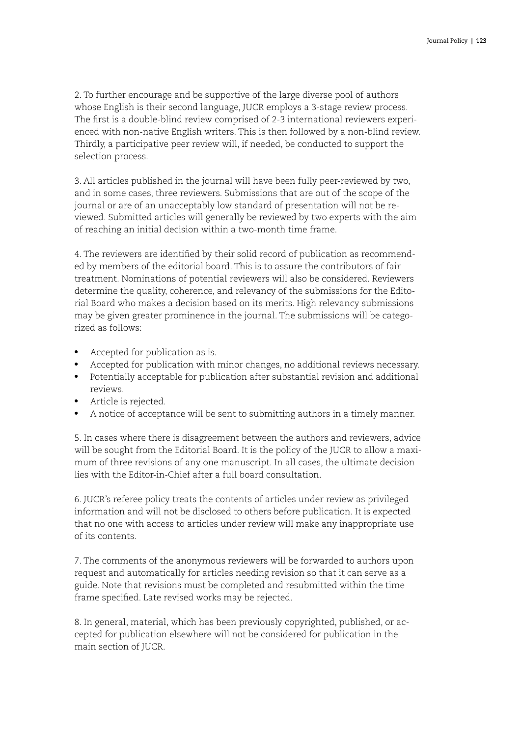2. To further encourage and be supportive of the large diverse pool of authors whose English is their second language, JUCR employs a 3-stage review process. The first is a double-blind review comprised of 2-3 international reviewers experienced with non-native English writers. This is then followed by a non-blind review. Thirdly, a participative peer review will, if needed, be conducted to support the selection process.

3. All articles published in the journal will have been fully peer-reviewed by two, and in some cases, three reviewers. Submissions that are out of the scope of the journal or are of an unacceptably low standard of presentation will not be reviewed. Submitted articles will generally be reviewed by two experts with the aim of reaching an initial decision within a two-month time frame.

4. The reviewers are identified by their solid record of publication as recommended by members of the editorial board. This is to assure the contributors of fair treatment. Nominations of potential reviewers will also be considered. Reviewers determine the quality, coherence, and relevancy of the submissions for the Editorial Board who makes a decision based on its merits. High relevancy submissions may be given greater prominence in the journal. The submissions will be categorized as follows:

- Accepted for publication as is.
- Accepted for publication with minor changes, no additional reviews necessary.
- • Potentially acceptable for publication after substantial revision and additional reviews.
- Article is rejected.
- A notice of acceptance will be sent to submitting authors in a timely manner.

5. In cases where there is disagreement between the authors and reviewers, advice will be sought from the Editorial Board. It is the policy of the JUCR to allow a maximum of three revisions of any one manuscript. In all cases, the ultimate decision lies with the Editor-in-Chief after a full board consultation.

6. JUCR's referee policy treats the contents of articles under review as privileged information and will not be disclosed to others before publication. It is expected that no one with access to articles under review will make any inappropriate use of its contents.

7. The comments of the anonymous reviewers will be forwarded to authors upon request and automatically for articles needing revision so that it can serve as a guide. Note that revisions must be completed and resubmitted within the time frame specified. Late revised works may be rejected.

8. In general, material, which has been previously copyrighted, published, or accepted for publication elsewhere will not be considered for publication in the main section of JUCR.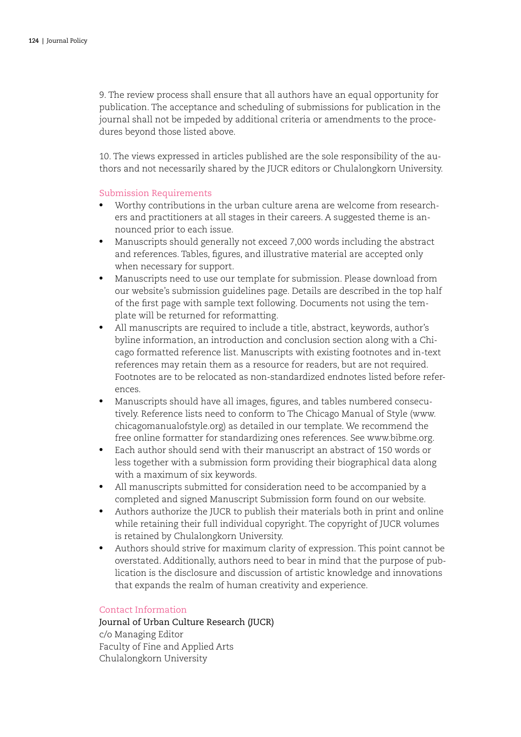9. The review process shall ensure that all authors have an equal opportunity for publication. The acceptance and scheduling of submissions for publication in the journal shall not be impeded by additional criteria or amendments to the procedures beyond those listed above.

10. The views expressed in articles published are the sole responsibility of the authors and not necessarily shared by the JUCR editors or Chulalongkorn University.

# Submission Requirements

- • Worthy contributions in the urban culture arena are welcome from researchers and practitioners at all stages in their careers. A suggested theme is announced prior to each issue.
- • Manuscripts should generally not exceed 7,000 words including the abstract and references. Tables, figures, and illustrative material are accepted only when necessary for support.
- Manuscripts need to use our template for submission. Please download from our website's submission guidelines page. Details are described in the top half of the first page with sample text following. Documents not using the template will be returned for reformatting.
- All manuscripts are required to include a title, abstract, keywords, author's byline information, an introduction and conclusion section along with a Chicago formatted reference list. Manuscripts with existing footnotes and in-text references may retain them as a resource for readers, but are not required. Footnotes are to be relocated as non-standardized endnotes listed before references.
- Manuscripts should have all images, figures, and tables numbered consecutively. Reference lists need to conform to The Chicago Manual of Style (www. chicagomanualofstyle.org) as detailed in our template. We recommend the free online formatter for standardizing ones references. See www.bibme.org.
- • Each author should send with their manuscript an abstract of 150 words or less together with a submission form providing their biographical data along with a maximum of six keywords.
- All manuscripts submitted for consideration need to be accompanied by a completed and signed Manuscript Submission form found on our website.
- Authors authorize the JUCR to publish their materials both in print and online while retaining their full individual copyright. The copyright of JUCR volumes is retained by Chulalongkorn University.
- Authors should strive for maximum clarity of expression. This point cannot be overstated. Additionally, authors need to bear in mind that the purpose of publication is the disclosure and discussion of artistic knowledge and innovations that expands the realm of human creativity and experience.

#### Contact Information

Journal of Urban Culture Research (JUCR) c/o Managing Editor Faculty of Fine and Applied Arts Chulalongkorn University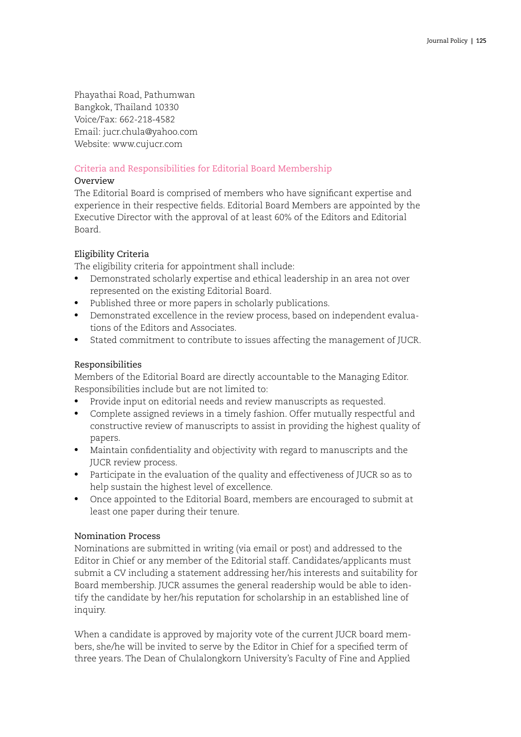Phayathai Road, Pathumwan Bangkok, Thailand 10330 Voice/Fax: 662-218-4582 Email: jucr.chula@yahoo.com Website: www.cujucr.com

# Criteria and Responsibilities for Editorial Board Membership

# Overview

The Editorial Board is comprised of members who have significant expertise and experience in their respective fields. Editorial Board Members are appointed by the Executive Director with the approval of at least 60% of the Editors and Editorial Board.

# Eligibility Criteria

The eligibility criteria for appointment shall include:

- • Demonstrated scholarly expertise and ethical leadership in an area not over represented on the existing Editorial Board.
- Published three or more papers in scholarly publications.
- Demonstrated excellence in the review process, based on independent evaluations of the Editors and Associates.
- Stated commitment to contribute to issues affecting the management of JUCR.

# Responsibilities

Members of the Editorial Board are directly accountable to the Managing Editor. Responsibilities include but are not limited to:

- Provide input on editorial needs and review manuscripts as requested.
- • Complete assigned reviews in a timely fashion. Offer mutually respectful and constructive review of manuscripts to assist in providing the highest quality of papers.
- Maintain confidentiality and objectivity with regard to manuscripts and the JUCR review process.
- Participate in the evaluation of the quality and effectiveness of JUCR so as to help sustain the highest level of excellence.
- Once appointed to the Editorial Board, members are encouraged to submit at least one paper during their tenure.

#### Nomination Process

Nominations are submitted in writing (via email or post) and addressed to the Editor in Chief or any member of the Editorial staff. Candidates/applicants must submit a CV including a statement addressing her/his interests and suitability for Board membership. JUCR assumes the general readership would be able to identify the candidate by her/his reputation for scholarship in an established line of inquiry.

When a candidate is approved by majority vote of the current JUCR board members, she/he will be invited to serve by the Editor in Chief for a specified term of three years. The Dean of Chulalongkorn University's Faculty of Fine and Applied